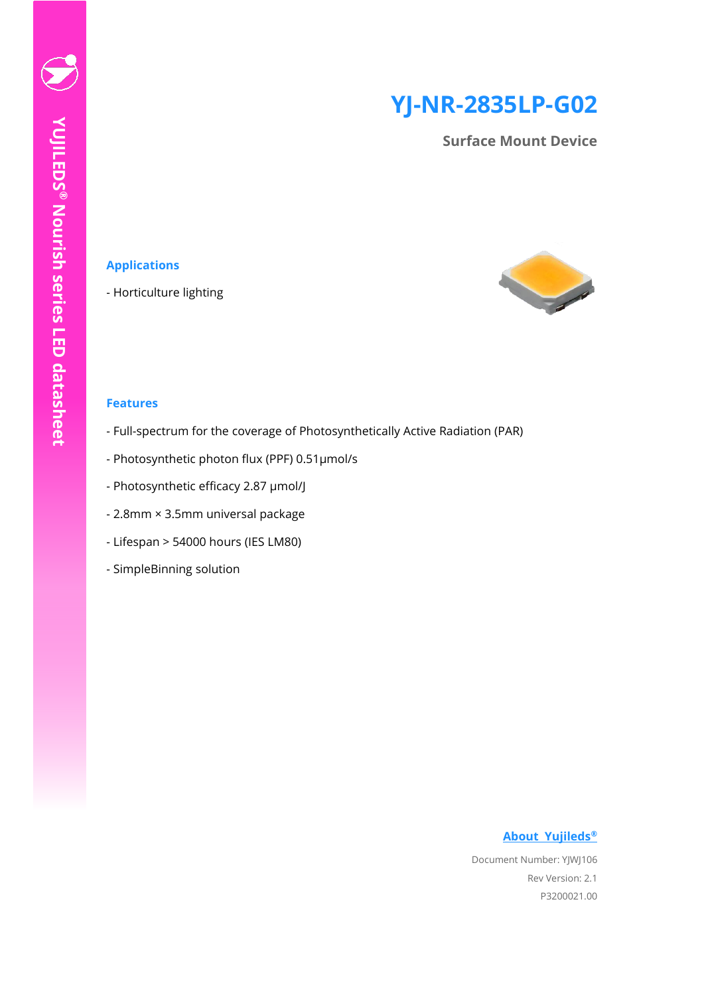# **YJ-NR-2835LP-G02**

**Surface Mount Device**

### **Applications**

- Horticulture lighting



#### **Features**

- Full-spectrum for the coverage of Photosynthetically Active Radiation (PAR)
- Photosynthetic photon flux (PPF) 0.51µmol/s
- Photosynthetic efficacy 2.87 µmol/J
- 2.8mm × 3.5mm universal package
- Lifespan > 54000 hours (IES LM80)
- SimpleBinning solution

#### **[About Yujileds](#page-20-0)®**

Document Number: YJWJ106 Rev Version: 2.1 P3200021.00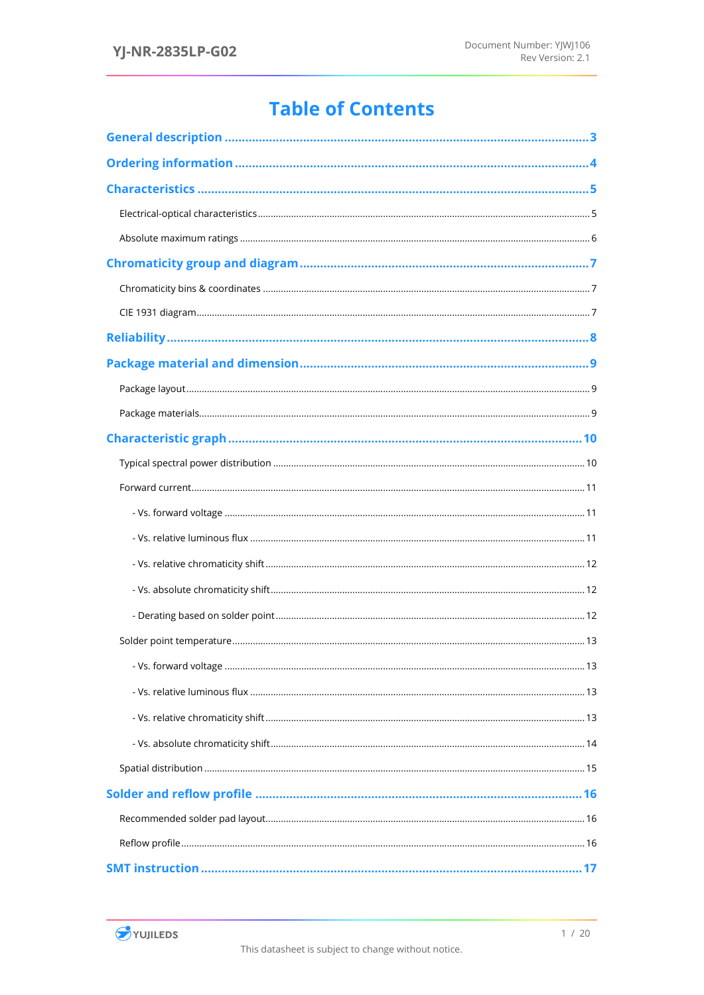## **Table of Contents**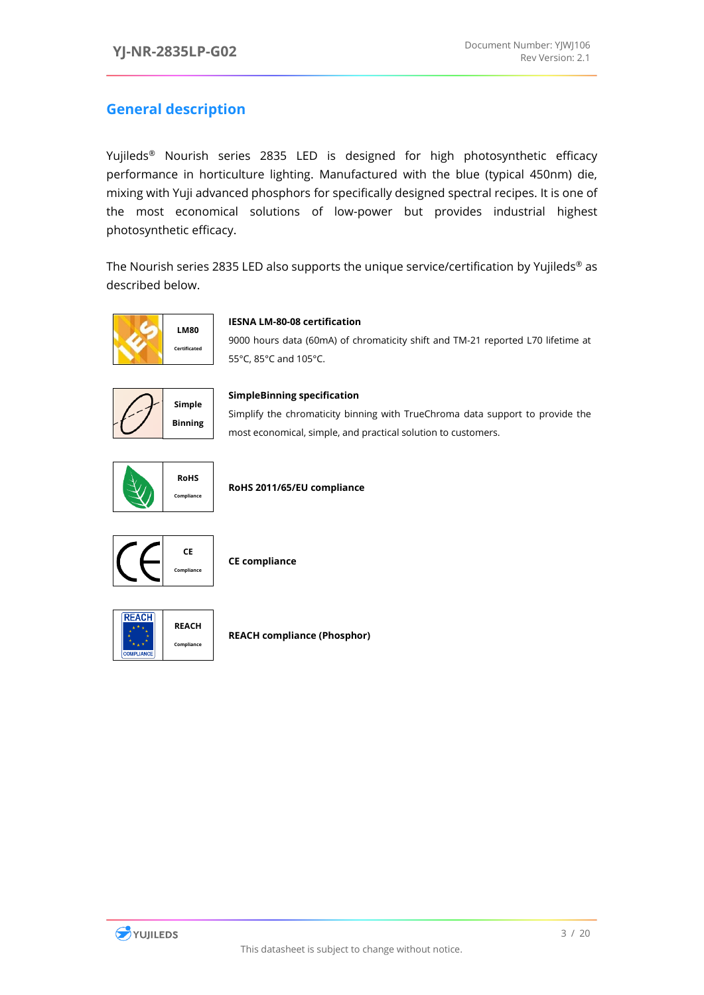### <span id="page-3-0"></span>**General description**

Yujileds® Nourish series 2835 LED is designed for high photosynthetic efficacy performance in horticulture lighting. Manufactured with the blue (typical 450nm) die, mixing with Yuji advanced phosphors for specifically designed spectral recipes. It is one of the most economical solutions of low-power but provides industrial highest photosynthetic efficacy.

The Nourish series 2835 LED also supports the unique service/certification by Yujileds® as described below.



#### **IESNA LM-80-08 certification**

9000 hours data (60mA) of chromaticity shift and TM-21 reported L70 lifetime at 55°C, 85°C and 105°C.



#### **SimpleBinning specification**

Simplify the chromaticity binning with TrueChroma data support to provide the most economical, simple, and practical solution to customers.



**RoHS 2011/65/EU compliance**



**CE compliance**



**REACH compliance (Phosphor)**

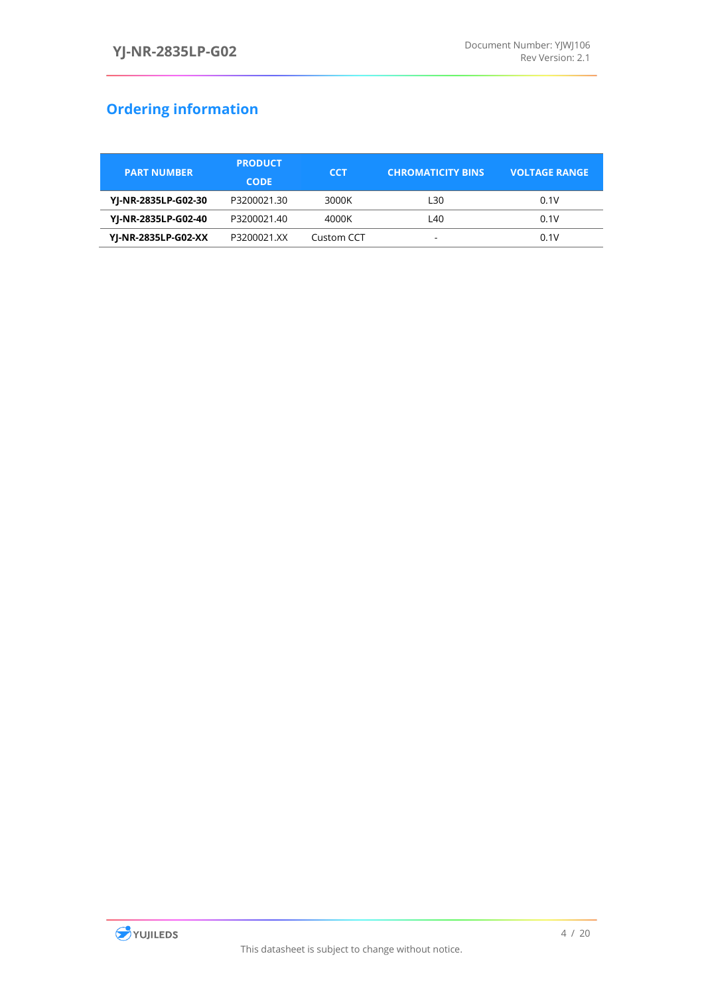## <span id="page-4-0"></span>**Ordering information**

| <b>PART NUMBER</b>  | <b>PRODUCT</b><br><b>CODE</b> | <b>CCT</b> | <b>CHROMATICITY BINS</b> | <b>VOLTAGE RANGE</b> |
|---------------------|-------------------------------|------------|--------------------------|----------------------|
| YJ-NR-2835LP-G02-30 | P3200021.30                   | 3000K      | L30                      | 0.1V                 |
| YJ-NR-2835LP-G02-40 | P3200021.40                   | 4000K      | L40                      | 0.1V                 |
| YJ-NR-2835LP-G02-XX | P3200021.XX                   | Custom CCT | -                        | 0.1V                 |

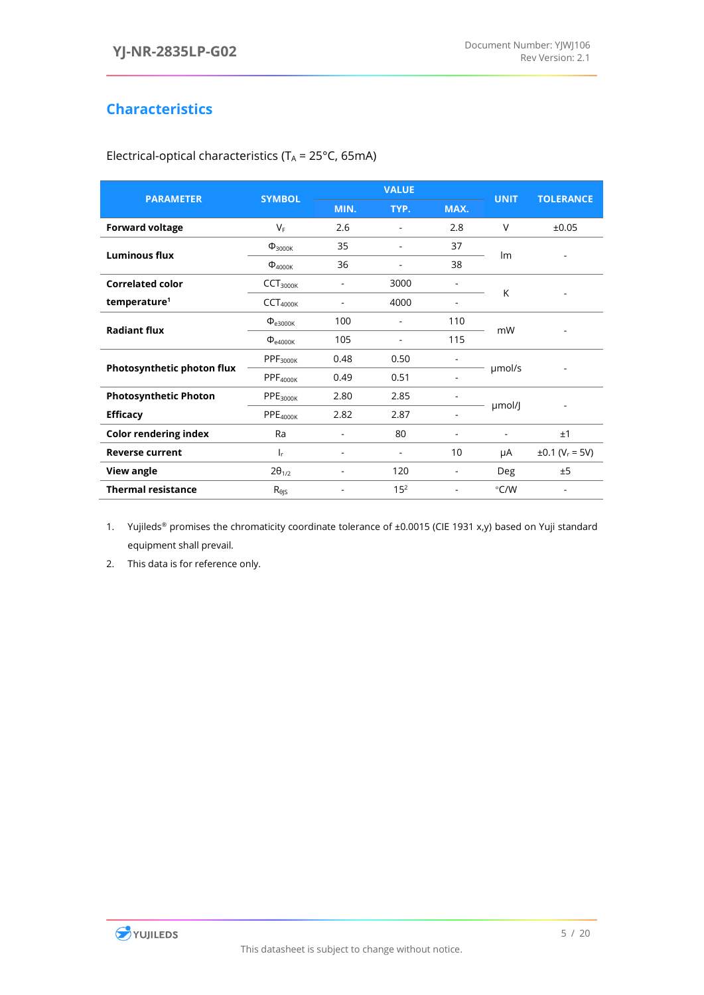### <span id="page-5-0"></span>**Characteristics**

| <b>PARAMETER</b>             | <b>SYMBOL</b>             | <b>VALUE</b> |                          |                          | <b>UNIT</b>    | <b>TOLERANCE</b>                |
|------------------------------|---------------------------|--------------|--------------------------|--------------------------|----------------|---------------------------------|
|                              |                           | MIN.         | TYP.                     | MAX.                     |                |                                 |
| <b>Forward voltage</b>       | $V_F$                     | 2.6          | $\overline{\phantom{a}}$ | 2.8                      | V              | ±0.05                           |
| <b>Luminous flux</b>         | $\Phi$ <sub>3000K</sub>   | 35           |                          | 37                       | Im             |                                 |
|                              | $\Phi$ <sub>4000K</sub>   | 36           |                          | 38                       |                |                                 |
| <b>Correlated color</b>      | CCT <sub>3000K</sub>      |              | 3000                     |                          | K              |                                 |
| temperature <sup>1</sup>     | CCT <sub>4000K</sub>      |              | 4000                     |                          |                |                                 |
| <b>Radiant flux</b>          | $\Phi_{e3000K}$           | 100          | $\overline{\phantom{a}}$ | 110                      | mW             |                                 |
|                              | $\Phi$ <sub>e4000K</sub>  | 105          |                          | 115                      |                |                                 |
|                              | PPF <sub>3000K</sub>      | 0.48         | 0.50                     |                          |                |                                 |
| Photosynthetic photon flux   | PPF <sub>4000K</sub>      | 0.49         | 0.51                     |                          | umol/s         |                                 |
| <b>Photosynthetic Photon</b> | PPE <sub>3000K</sub>      | 2.80         | 2.85                     |                          |                |                                 |
| <b>Efficacy</b>              | PPE <sub>4000K</sub>      | 2.82         | 2.87                     | $\overline{\phantom{a}}$ | µmol/J         |                                 |
| <b>Color rendering index</b> | Ra                        |              | 80                       |                          | $\blacksquare$ | ±1                              |
| <b>Reverse current</b>       | ı,                        |              |                          | 10                       | μA             | $\pm 0.1$ (V <sub>r</sub> = 5V) |
| <b>View angle</b>            | $2\theta_{1/2}$           |              | 120                      |                          | Deg            | ±5                              |
| <b>Thermal resistance</b>    | $R_{\theta}$ <sub>5</sub> |              | $15^{2}$                 |                          | $\degree$ C/W  |                                 |
|                              |                           |              |                          |                          |                |                                 |

<span id="page-5-1"></span>Electrical-optical characteristics (T $_A$  = 25°C, 65mA)

1. Yujileds<sup>®</sup> promises the chromaticity coordinate tolerance of ±0.0015 (CIE 1931 x,y) based on Yuji standard equipment shall prevail.

2. This data is for reference only.

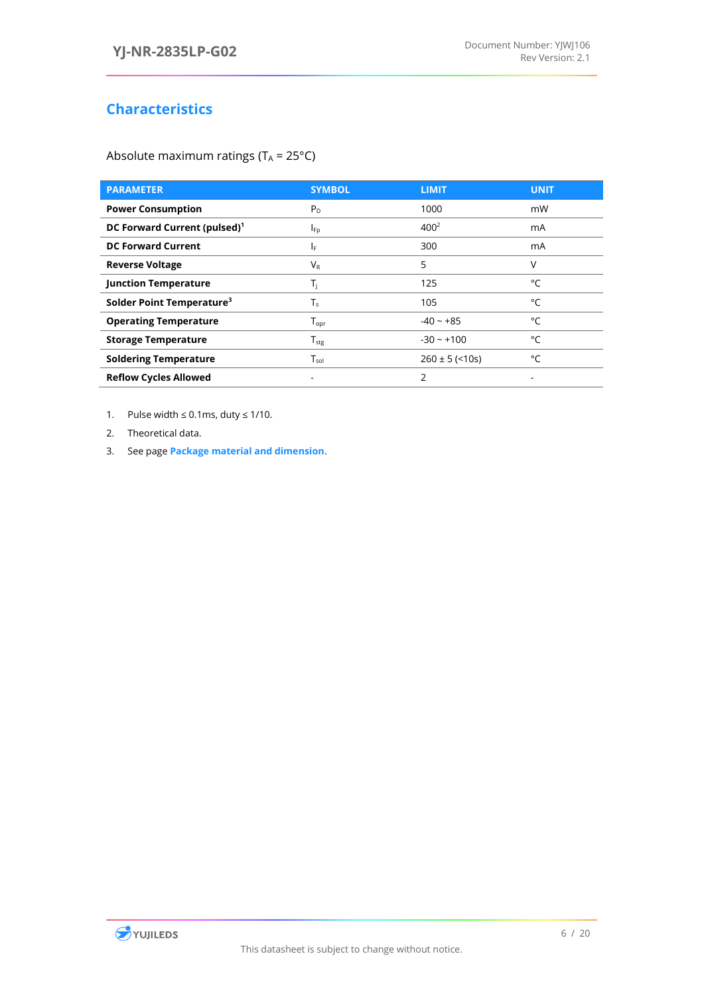### **Characteristics**

<span id="page-6-0"></span>Absolute maximum ratings ( $T_A = 25^{\circ}C$ )

| <b>PARAMETER</b>                         | <b>SYMBOL</b>                | <b>LIMIT</b>       | <b>UNIT</b> |
|------------------------------------------|------------------------------|--------------------|-------------|
| <b>Power Consumption</b>                 | $P_D$                        | 1000               | mW          |
| DC Forward Current (pulsed) <sup>1</sup> | $I_{\text{Fp}}$              | $400^{2}$          | mA          |
| <b>DC Forward Current</b>                | IF.                          | 300                | mA          |
| <b>Reverse Voltage</b>                   | VR                           | 5                  | ٧           |
| <b>Junction Temperature</b>              | T <sub>i</sub>               | 125                | °C          |
| Solder Point Temperature <sup>3</sup>    | T、                           | 105                | °C          |
| <b>Operating Temperature</b>             | $\mathsf{T}_{\mathsf{opr}}$  | $-40 - +85$        | °C          |
| <b>Storage Temperature</b>               | ${\mathsf T}_{\textsf{stg}}$ | $-30 - +100$       | °C          |
| <b>Soldering Temperature</b>             | $\mathsf{T}_{\mathsf{sol}}$  | $260 \pm 5$ (<10s) | °C          |
| <b>Reflow Cycles Allowed</b>             | ٠                            | 2                  |             |

1. Pulse width  $\leq 0.1$ ms, duty  $\leq 1/10$ .

2. Theoretical data.

3. See page **[Package material and dimension](#page-9-0)**.

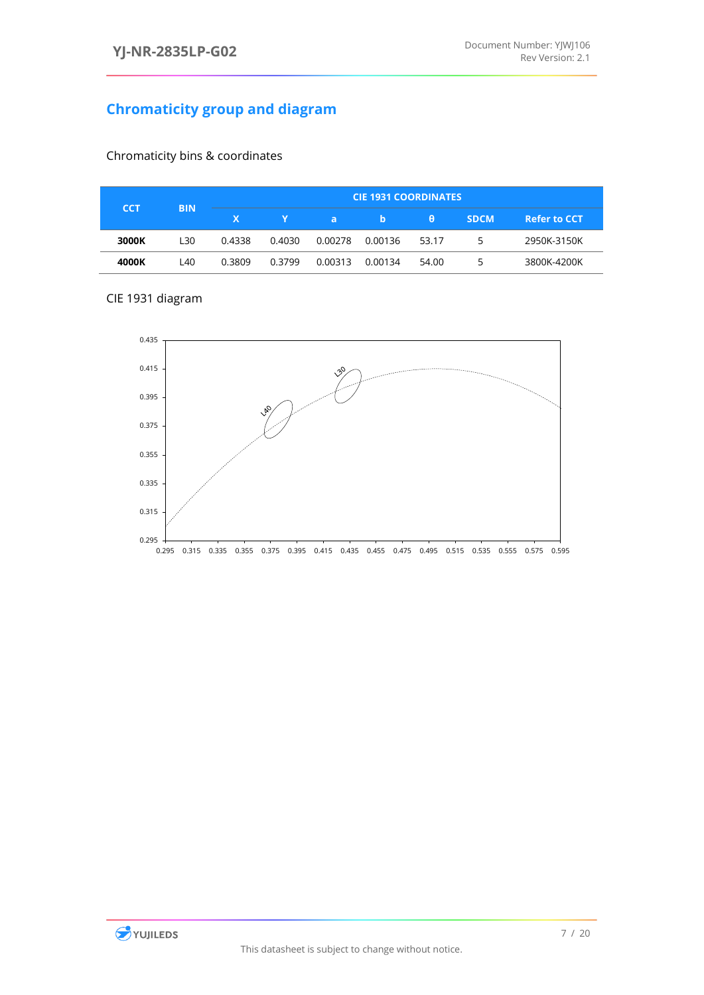### <span id="page-7-0"></span>**Chromaticity group and diagram**

<span id="page-7-1"></span>

| <b>CCT</b> | <b>BIN</b> | <b>CIE 1931 COORDINATES</b> |        |              |         |          |             |                     |
|------------|------------|-----------------------------|--------|--------------|---------|----------|-------------|---------------------|
|            |            | X.                          |        | $\mathbf{a}$ | b       | <b>A</b> | <b>SDCM</b> | <b>Refer to CCT</b> |
| 3000K      | <b>130</b> | 0.4338                      | 0.4030 | 0.00278      | 0.00136 | 53.17    | ר           | 2950K-3150K         |
| 4000K      | L40        | 0.3809                      | 0.3799 | 0.00313      | 0.00134 | 54.00    | כ           | 3800K-4200K         |

<span id="page-7-2"></span>CIE 1931 diagram



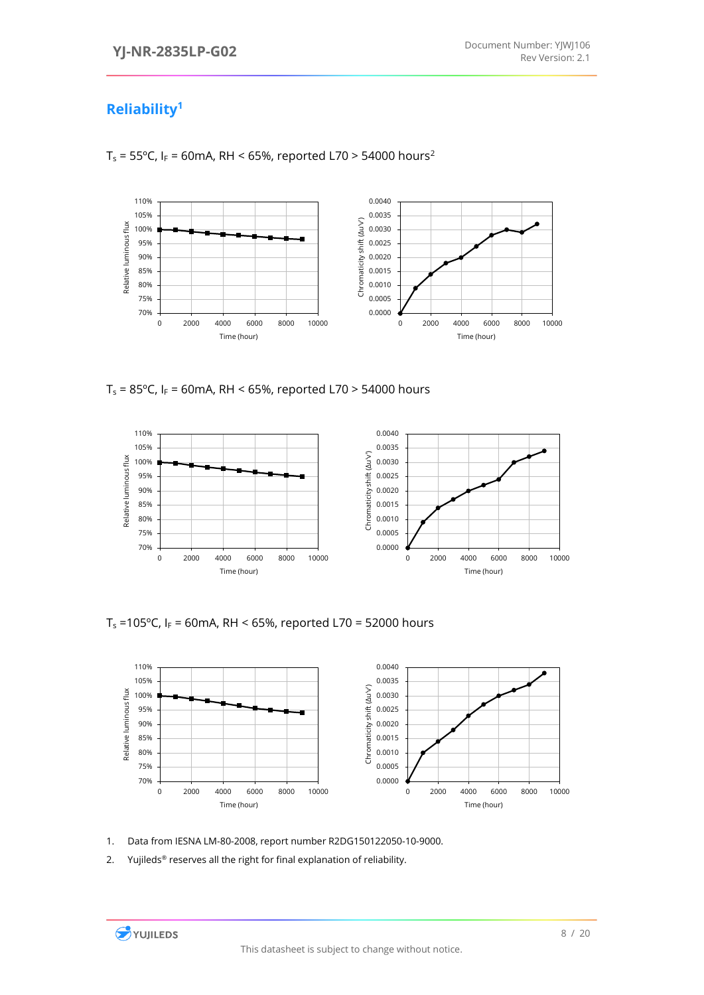### <span id="page-8-0"></span>**Reliability<sup>1</sup>**



 $T_s = 55^{\circ}$ C, I<sub>F</sub> = 60mA, RH < 65%, reported L70 > 54000 hours<sup>2</sup>

 $T_s = 85^{\circ}$ C, I<sub>F</sub> = 60mA, RH < 65%, reported L70 > 54000 hours



T<sub>s</sub> =105°C, I<sub>F</sub> = 60mA, RH < 65%, reported L70 = 52000 hours



1. Data from IESNA LM-80-2008, report number R2DG150122050-10-9000.

2. Yujileds<sup>®</sup> reserves all the right for final explanation of reliability.

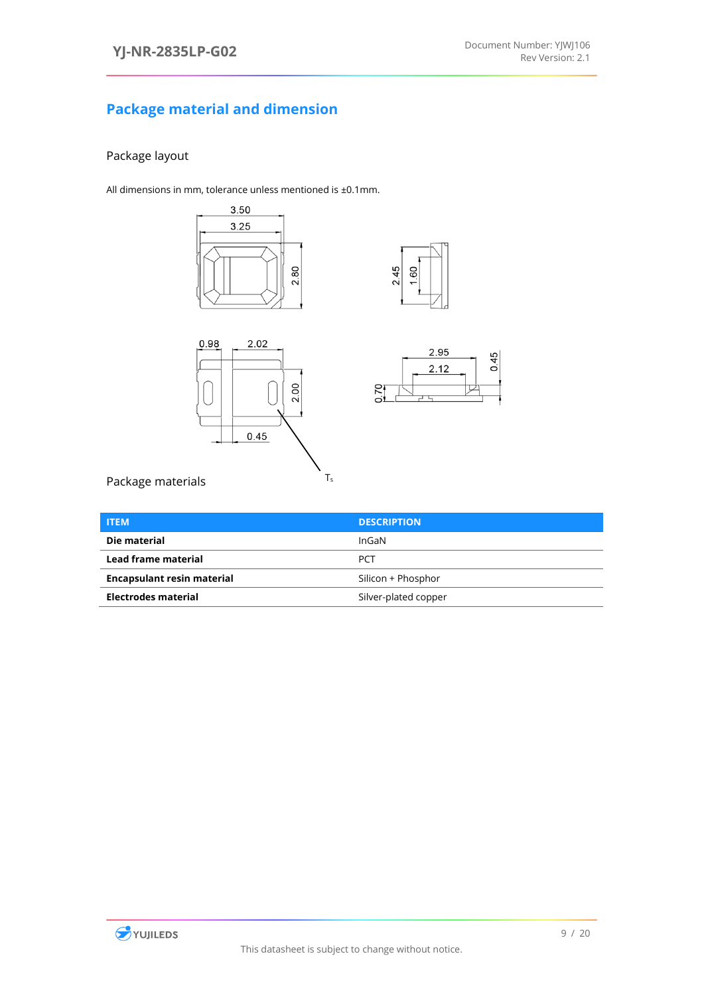### <span id="page-9-0"></span>**Package material and dimension**

### <span id="page-9-1"></span>Package layout

All dimensions in mm, tolerance unless mentioned is ±0.1mm.









<span id="page-9-2"></span>Package materials

| <b>ITEM</b>                       | <b>DESCRIPTION</b>   |
|-----------------------------------|----------------------|
| Die material                      | InGaN                |
| Lead frame material               | <b>PCT</b>           |
| <b>Encapsulant resin material</b> | Silicon + Phosphor   |
| <b>Electrodes material</b>        | Silver-plated copper |

 $T_s$ 

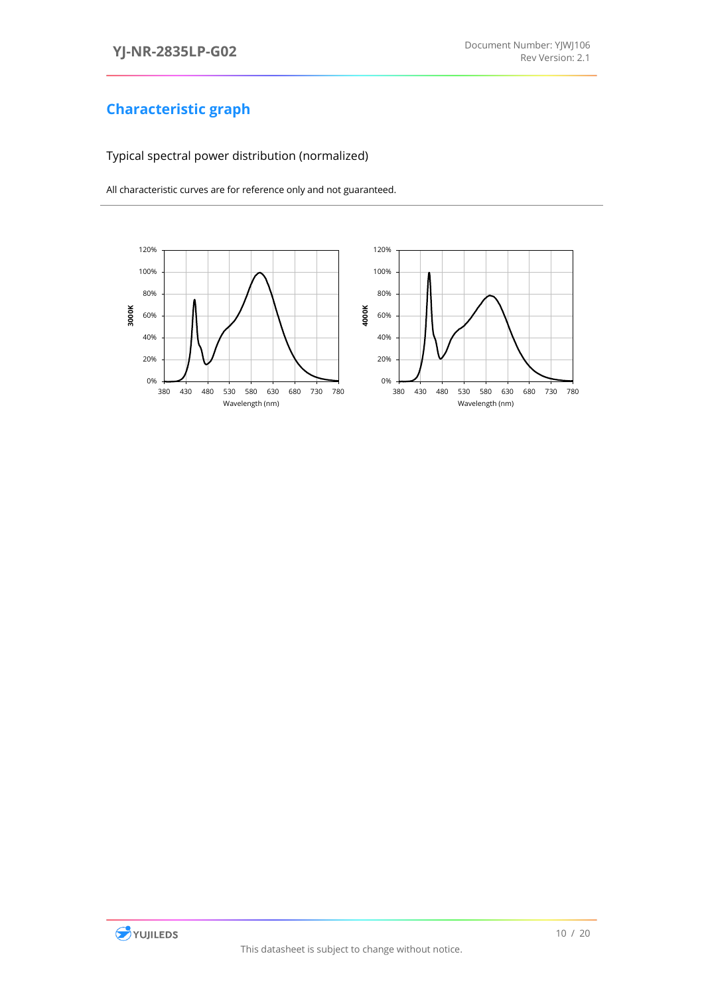### <span id="page-10-1"></span><span id="page-10-0"></span>Typical spectral power distribution (normalized)



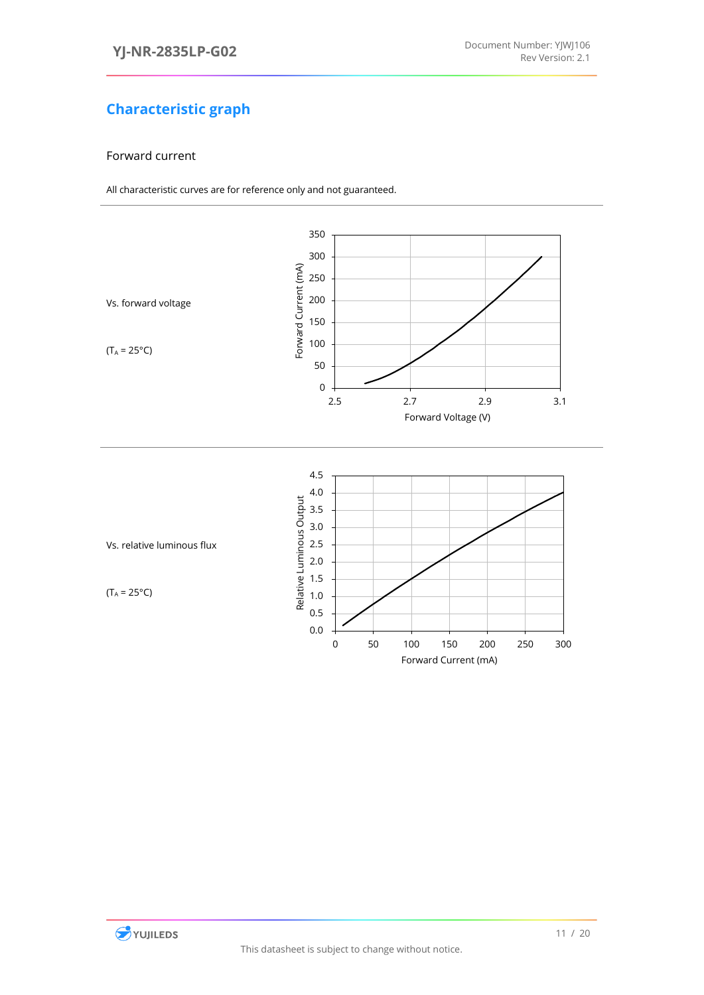#### <span id="page-11-0"></span>Forward current

<span id="page-11-2"></span><span id="page-11-1"></span>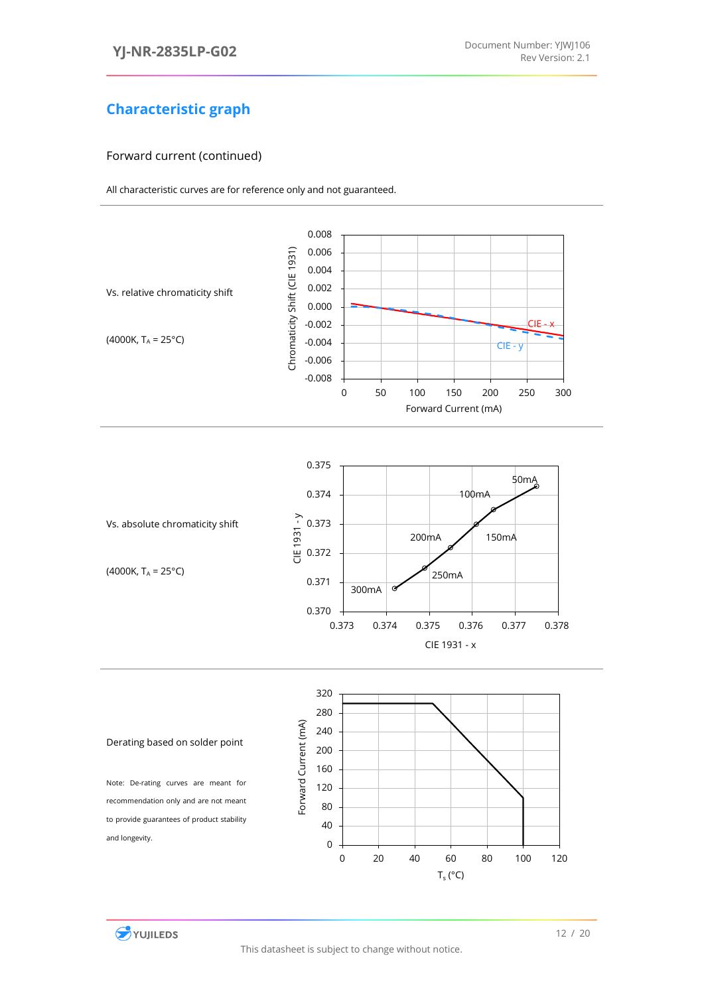#### Forward current (continued)

<span id="page-12-0"></span>

<span id="page-12-1"></span>



<span id="page-12-2"></span>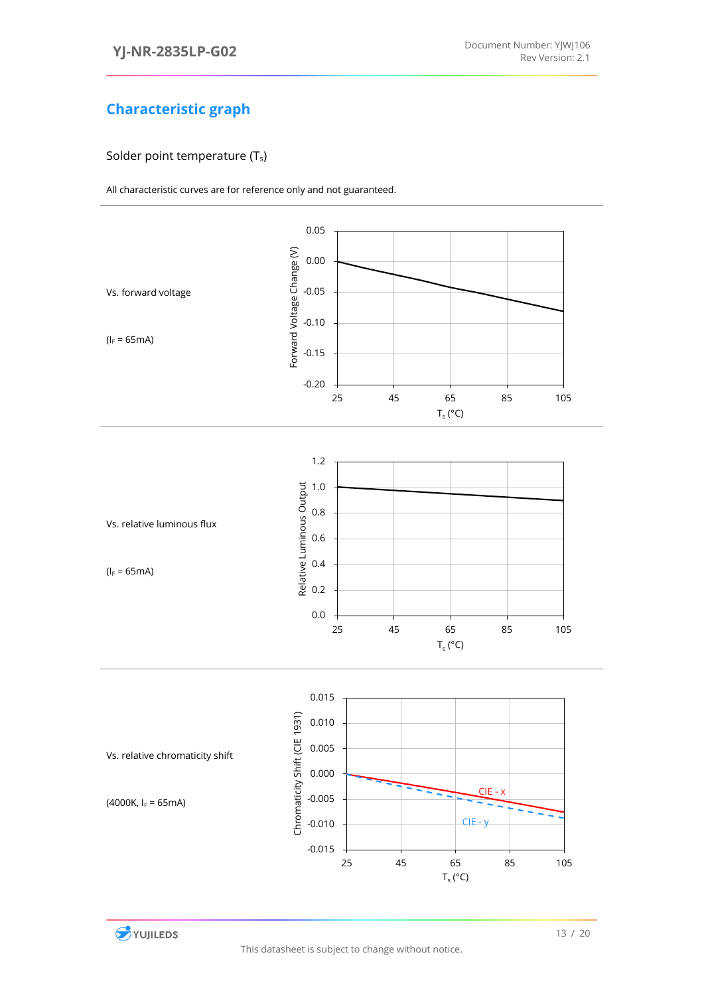#### <span id="page-13-0"></span>Solder point temperature (Ts)

<span id="page-13-2"></span><span id="page-13-1"></span>

<span id="page-13-3"></span>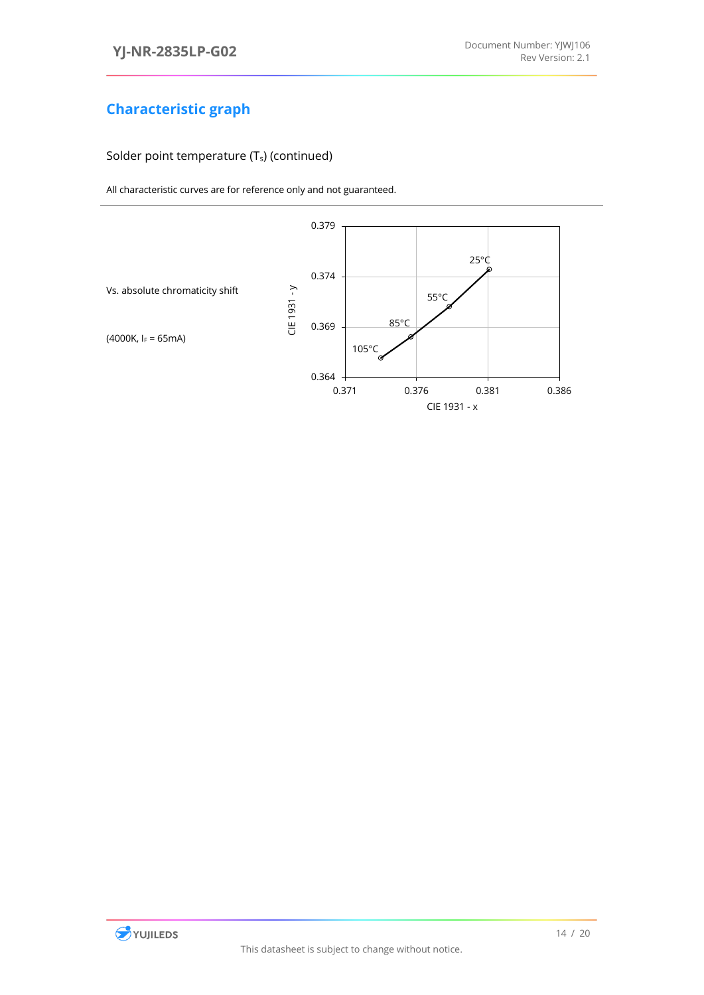#### Solder point temperature (Ts) (continued)

<span id="page-14-0"></span>

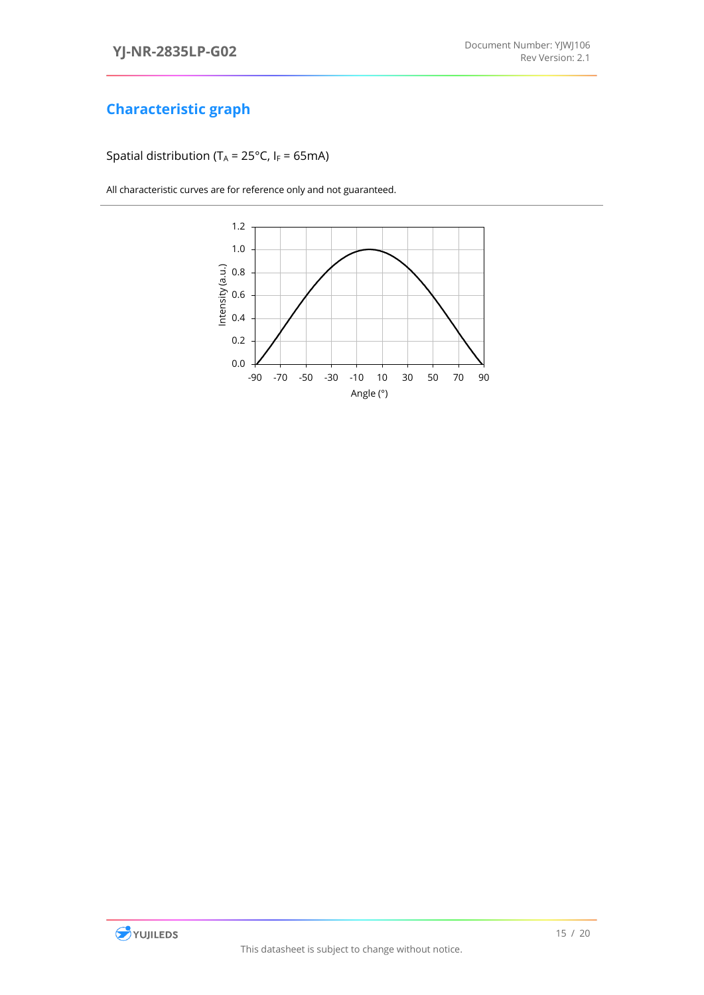<span id="page-15-0"></span>Spatial distribution (T<sub>A</sub> = 25°C, I<sub>F</sub> = 65mA)



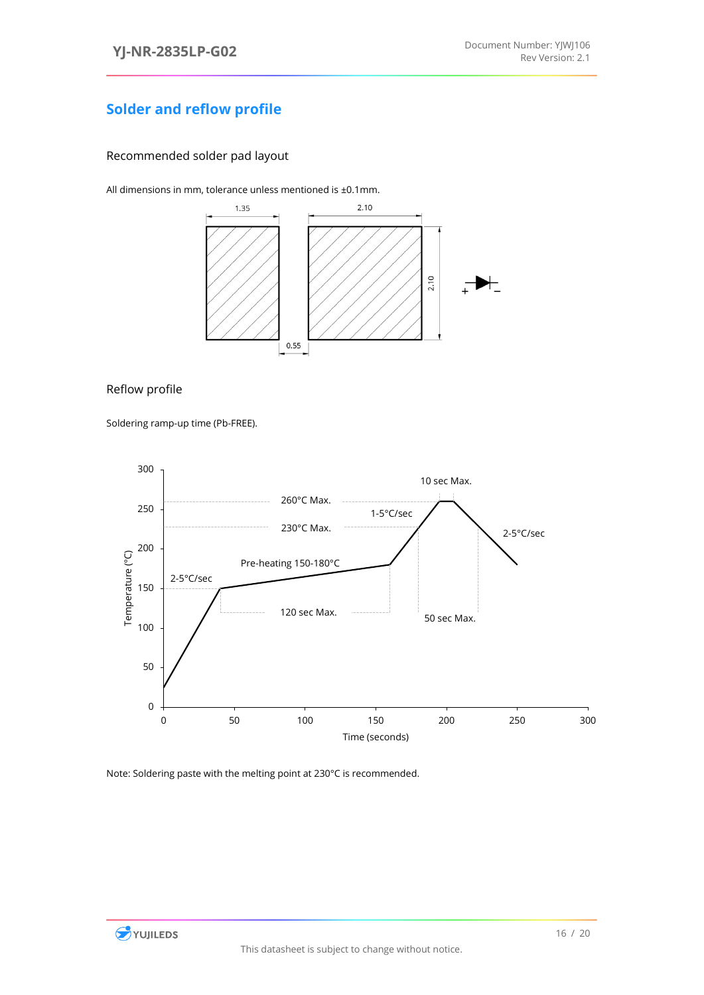### <span id="page-16-0"></span>**Solder and reflow profile**

<span id="page-16-1"></span>Recommended solder pad layout

All dimensions in mm, tolerance unless mentioned is ±0.1mm.



#### <span id="page-16-2"></span>Reflow profile

Soldering ramp-up time (Pb-FREE).



Note: Soldering paste with the melting point at 230°C is recommended.

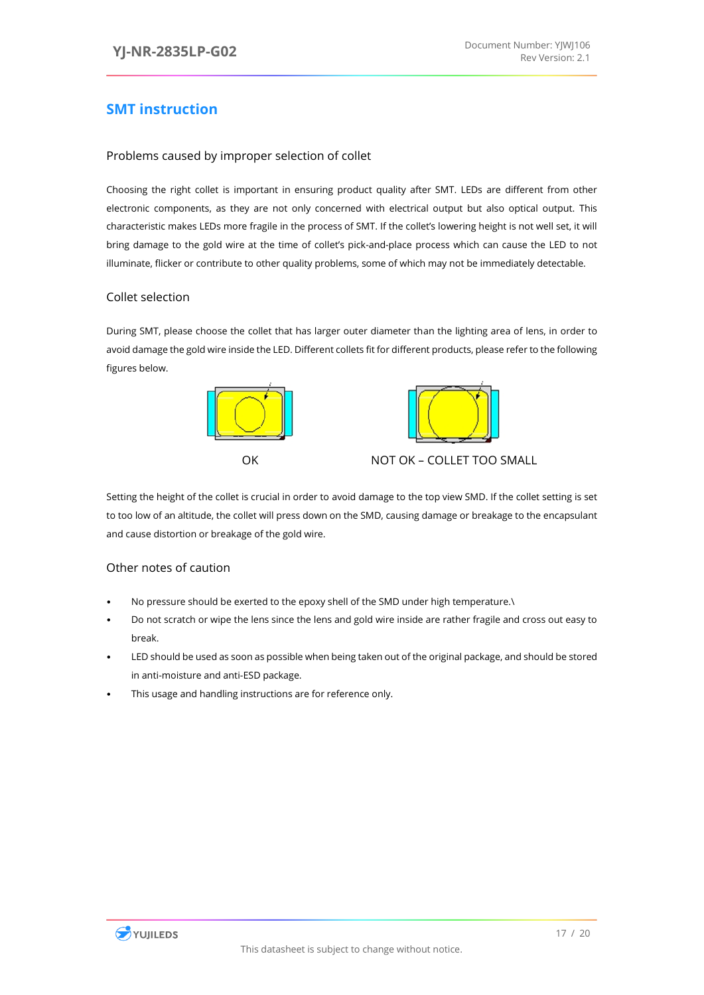### <span id="page-17-0"></span>**SMT instruction**

#### <span id="page-17-1"></span>Problems caused by improper selection of collet

Choosing the right collet is important in ensuring product quality after SMT. LEDs are different from other electronic components, as they are not only concerned with electrical output but also optical output. This characteristic makes LEDs more fragile in the process of SMT. If the collet's lowering height is not well set, it will bring damage to the gold wire at the time of collet's pick-and-place process which can cause the LED to not illuminate, flicker or contribute to other quality problems, some of which may not be immediately detectable.

#### <span id="page-17-2"></span>Collet selection

During SMT, please choose the collet that has larger outer diameter than the lighting area of lens, in order to avoid damage the gold wire inside the LED. Different collets fit for different products, please refer to the following figures below.





OK NOT OK – COLLET TOO SMALL

Setting the height of the collet is crucial in order to avoid damage to the top view SMD. If the collet setting is set to too low of an altitude, the collet will press down on the SMD, causing damage or breakage to the encapsulant and cause distortion or breakage of the gold wire.

#### <span id="page-17-3"></span>Other notes of caution

- No pressure should be exerted to the epoxy shell of the SMD under high temperature.\
- Do not scratch or wipe the lens since the lens and gold wire inside are rather fragile and cross out easy to break.
- LED should be used as soon as possible when being taken out of the original package, and should be stored in anti-moisture and anti-ESD package.
- This usage and handling instructions are for reference only.

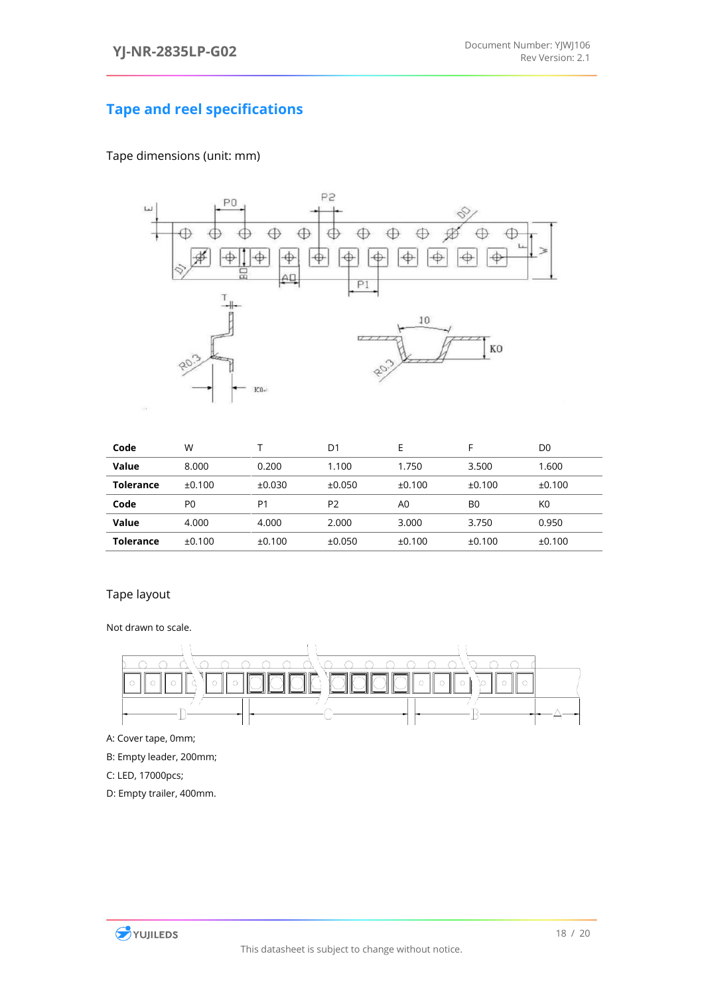### <span id="page-18-0"></span>**Tape and reel specifications**

### Tape dimensions (unit: mm)



| Code             | W              |        | D1             | Е              |                | D0             |
|------------------|----------------|--------|----------------|----------------|----------------|----------------|
| Value            | 8.000          | 0.200  | 1.100          | 1.750          | 3.500          | 1.600          |
| <b>Tolerance</b> | ±0.100         | ±0.030 | ±0.050         | ±0.100         | ±0.100         | ±0.100         |
| Code             | P <sub>0</sub> | P1     | P <sub>2</sub> | A <sub>0</sub> | B <sub>0</sub> | K <sub>0</sub> |
| Value            | 4.000          | 4.000  | 2.000          | 3.000          | 3.750          | 0.950          |
| <b>Tolerance</b> | ±0.100         | ±0.100 | ±0.050         | ±0.100         | ±0.100         | ±0.100         |

#### Tape layout



A: Cover tape, 0mm;

B: Empty leader, 200mm;

C: LED, 17000pcs;

D: Empty trailer, 400mm.

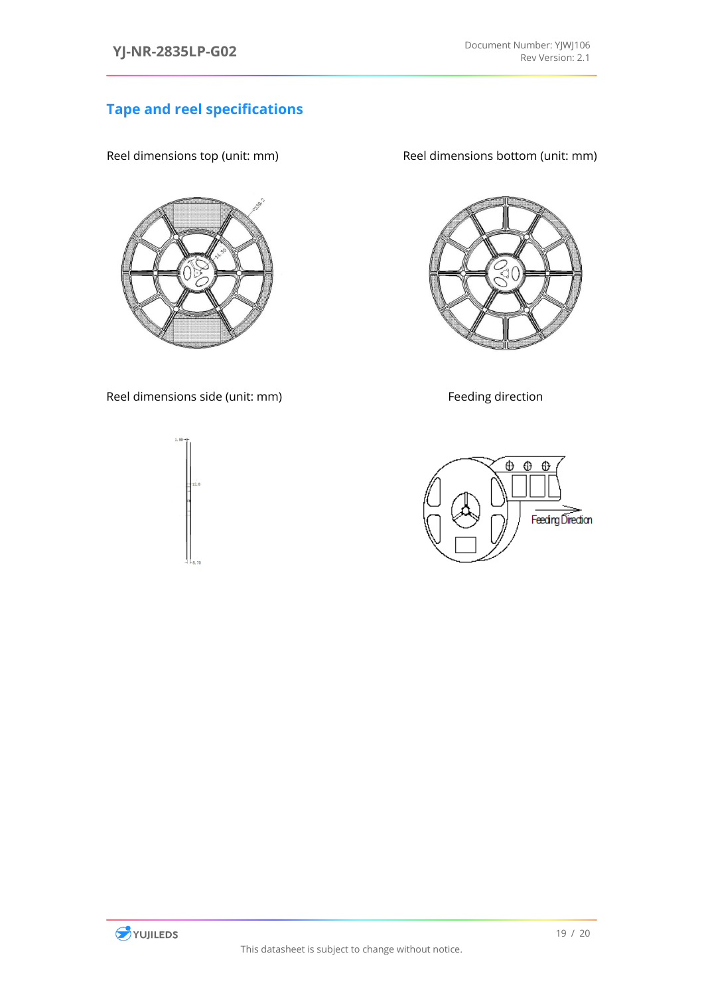### **Tape and reel specifications**



Reel dimensions side (unit: mm) Feeding direction

Reel dimensions top (unit: mm) Reel dimensions bottom (unit: mm)